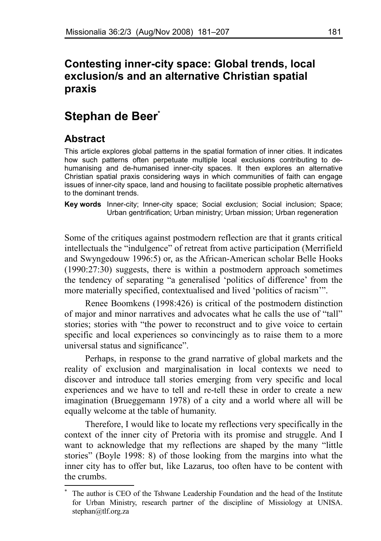# **Contesting inner-city space: Global trends, local exclusion/s and an alternative Christian spatial praxis**

# **Stephan de Beer[\\*](#page-0-0)**

# **Abstract**

This article explores global patterns in the spatial formation of inner cities. It indicates how such patterns often perpetuate multiple local exclusions contributing to dehumanising and de-humanised inner-city spaces. It then explores an alternative Christian spatial praxis considering ways in which communities of faith can engage issues of inner-city space, land and housing to facilitate possible prophetic alternatives to the dominant trends.

**Key words** Inner-city; Inner-city space; Social exclusion; Social inclusion; Space; Urban gentrification; Urban ministry; Urban mission; Urban regeneration

Some of the critiques against postmodern reflection are that it grants critical intellectuals the "indulgence" of retreat from active participation (Merrifield and Swyngedouw 1996:5) or, as the African-American scholar Belle Hooks (1990:27:30) suggests, there is within a postmodern approach sometimes the tendency of separating "a generalised 'politics of difference' from the more materially specified, contextualised and lived 'politics of racism'".

Renee Boomkens (1998:426) is critical of the postmodern distinction of major and minor narratives and advocates what he calls the use of "tall" stories; stories with "the power to reconstruct and to give voice to certain specific and local experiences so convincingly as to raise them to a more universal status and significance".

Perhaps, in response to the grand narrative of global markets and the reality of exclusion and marginalisation in local contexts we need to discover and introduce tall stories emerging from very specific and local experiences and we have to tell and re-tell these in order to create a new imagination (Brueggemann 1978) of a city and a world where all will be equally welcome at the table of humanity.

Therefore, I would like to locate my reflections very specifically in the context of the inner city of Pretoria with its promise and struggle. And I want to acknowledge that my reflections are shaped by the many "little stories" (Boyle 1998: 8) of those looking from the margins into what the inner city has to offer but, like Lazarus, too often have to be content with the crumbs.

<span id="page-0-0"></span>The author is CEO of the Tshwane Leadership Foundation and the head of the Institute for Urban Ministry, research partner of the discipline of Missiology at UNISA. stephan@tlf.org.za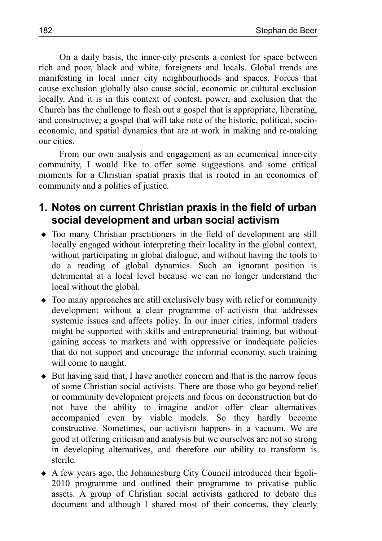On a daily basis, the inner-city presents a contest for space between rich and poor, black and white, foreigners and locals. Global trends are manifesting in local inner city neighbourhoods and spaces. Forces that cause exclusion globally also cause social, economic or cultural exclusion locally. And it is in this context of contest, power, and exclusion that the Church has the challenge to flesh out a gospel that is appropriate, liberating, and constructive; a gospel that will take note of the historic, political, socioeconomic, and spatial dynamics that are at work in making and re-making our cities.

From our own analysis and engagement as an ecumenical inner-city community, I would like to offer some suggestions and some critical moments for a Christian spatial praxis that is rooted in an economics of community and a politics of justice.

## **1. Notes on current Christian praxis in the field of urban social development and urban social activism**

- Too many Christian practitioners in the field of development are still locally engaged without interpreting their locality in the global context, without participating in global dialogue, and without having the tools to do a reading of global dynamics. Such an ignorant position is detrimental at a local level because we can no longer understand the local without the global.
- Too many approaches are still exclusively busy with relief or community development without a clear programme of activism that addresses systemic issues and affects policy. In our inner cities, informal traders might be supported with skills and entrepreneurial training, but without gaining access to markets and with oppressive or inadequate policies that do not support and encourage the informal economy, such training will come to naught.
- But having said that, I have another concern and that is the narrow focus of some Christian social activists. There are those who go beyond relief or community development projects and focus on deconstruction but do not have the ability to imagine and/or offer clear alternatives accompanied even by viable models. So they hardly become constructive. Sometimes, our activism happens in a vacuum. We are good at offering criticism and analysis but we ourselves are not so strong in developing alternatives, and therefore our ability to transform is sterile.
- A few years ago, the Johannesburg City Council introduced their Egoli-2010 programme and outlined their programme to privatise public assets. A group of Christian social activists gathered to debate this document and although I shared most of their concerns, they clearly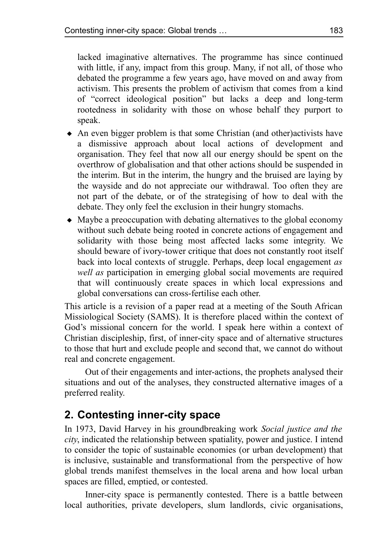lacked imaginative alternatives. The programme has since continued with little, if any, impact from this group. Many, if not all, of those who debated the programme a few years ago, have moved on and away from activism. This presents the problem of activism that comes from a kind of "correct ideological position" but lacks a deep and long-term rootedness in solidarity with those on whose behalf they purport to speak.

- An even bigger problem is that some Christian (and other)activists have a dismissive approach about local actions of development and organisation. They feel that now all our energy should be spent on the overthrow of globalisation and that other actions should be suspended in the interim. But in the interim, the hungry and the bruised are laying by the wayside and do not appreciate our withdrawal. Too often they are not part of the debate, or of the strategising of how to deal with the debate. They only feel the exclusion in their hungry stomachs.
- Maybe a preoccupation with debating alternatives to the global economy without such debate being rooted in concrete actions of engagement and solidarity with those being most affected lacks some integrity. We should beware of ivory-tower critique that does not constantly root itself back into local contexts of struggle. Perhaps, deep local engagement *as well as* participation in emerging global social movements are required that will continuously create spaces in which local expressions and global conversations can cross-fertilise each other.

This article is a revision of a paper read at a meeting of the South African Missiological Society (SAMS). It is therefore placed within the context of God's missional concern for the world. I speak here within a context of Christian discipleship, first, of inner-city space and of alternative structures to those that hurt and exclude people and second that, we cannot do without real and concrete engagement.

Out of their engagements and inter-actions, the prophets analysed their situations and out of the analyses, they constructed alternative images of a preferred reality.

# **2. Contesting inner-city space**

In 1973, David Harvey in his groundbreaking work *Social justice and the city*, indicated the relationship between spatiality, power and justice. I intend to consider the topic of sustainable economies (or urban development) that is inclusive, sustainable and transformational from the perspective of how global trends manifest themselves in the local arena and how local urban spaces are filled, emptied, or contested.

Inner-city space is permanently contested. There is a battle between local authorities, private developers, slum landlords, civic organisations,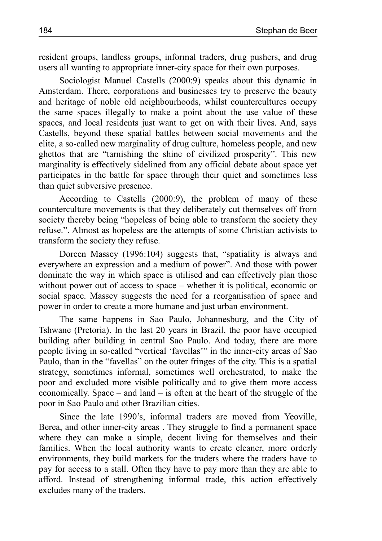resident groups, landless groups, informal traders, drug pushers, and drug users all wanting to appropriate inner-city space for their own purposes.

Sociologist Manuel Castells (2000:9) speaks about this dynamic in Amsterdam. There, corporations and businesses try to preserve the beauty and heritage of noble old neighbourhoods, whilst countercultures occupy the same spaces illegally to make a point about the use value of these spaces, and local residents just want to get on with their lives. And, says Castells, beyond these spatial battles between social movements and the elite, a so-called new marginality of drug culture, homeless people, and new ghettos that are "tarnishing the shine of civilized prosperity". This new marginality is effectively sidelined from any official debate about space yet participates in the battle for space through their quiet and sometimes less than quiet subversive presence.

According to Castells (2000:9), the problem of many of these counterculture movements is that they deliberately cut themselves off from society thereby being "hopeless of being able to transform the society they refuse.". Almost as hopeless are the attempts of some Christian activists to transform the society they refuse.

Doreen Massey (1996:104) suggests that, "spatiality is always and everywhere an expression and a medium of power". And those with power dominate the way in which space is utilised and can effectively plan those without power out of access to space – whether it is political, economic or social space. Massey suggests the need for a reorganisation of space and power in order to create a more humane and just urban environment.

The same happens in Sao Paulo, Johannesburg, and the City of Tshwane (Pretoria). In the last 20 years in Brazil, the poor have occupied building after building in central Sao Paulo. And today, there are more people living in so-called "vertical 'favellas'" in the inner-city areas of Sao Paulo, than in the "favellas" on the outer fringes of the city. This is a spatial strategy, sometimes informal, sometimes well orchestrated, to make the poor and excluded more visible politically and to give them more access economically. Space – and land – is often at the heart of the struggle of the poor in Sao Paulo and other Brazilian cities.

Since the late 1990's, informal traders are moved from Yeoville, Berea, and other inner-city areas . They struggle to find a permanent space where they can make a simple, decent living for themselves and their families. When the local authority wants to create cleaner, more orderly environments, they build markets for the traders where the traders have to pay for access to a stall. Often they have to pay more than they are able to afford. Instead of strengthening informal trade, this action effectively excludes many of the traders.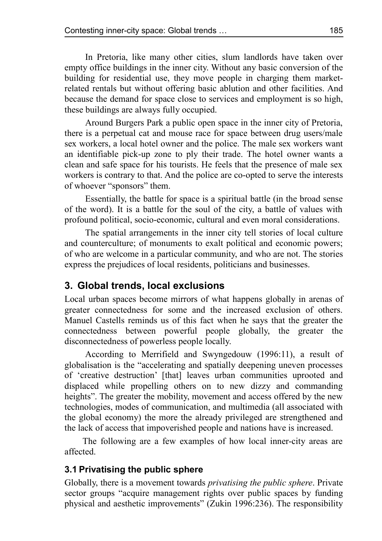In Pretoria, like many other cities, slum landlords have taken over empty office buildings in the inner city. Without any basic conversion of the building for residential use, they move people in charging them marketrelated rentals but without offering basic ablution and other facilities. And because the demand for space close to services and employment is so high, these buildings are always fully occupied.

Around Burgers Park a public open space in the inner city of Pretoria, there is a perpetual cat and mouse race for space between drug users/male sex workers, a local hotel owner and the police. The male sex workers want an identifiable pick-up zone to ply their trade. The hotel owner wants a clean and safe space for his tourists. He feels that the presence of male sex workers is contrary to that. And the police are co-opted to serve the interests of whoever "sponsors" them.

Essentially, the battle for space is a spiritual battle (in the broad sense of the word). It is a battle for the soul of the city, a battle of values with profound political, socio-economic, cultural and even moral considerations.

The spatial arrangements in the inner city tell stories of local culture and counterculture; of monuments to exalt political and economic powers; of who are welcome in a particular community, and who are not. The stories express the prejudices of local residents, politicians and businesses.

## **3. Global trends, local exclusions**

Local urban spaces become mirrors of what happens globally in arenas of greater connectedness for some and the increased exclusion of others. Manuel Castells reminds us of this fact when he says that the greater the connectedness between powerful people globally, the greater the disconnectedness of powerless people locally.

According to Merrifield and Swyngedouw (1996:11), a result of globalisation is the "accelerating and spatially deepening uneven processes of 'creative destruction' [that] leaves urban communities uprooted and displaced while propelling others on to new dizzy and commanding heights". The greater the mobility, movement and access offered by the new technologies, modes of communication, and multimedia (all associated with the global economy) the more the already privileged are strengthened and the lack of access that impoverished people and nations have is increased.

The following are a few examples of how local inner-city areas are affected.

## **3.1 Privatising the public sphere**

Globally, there is a movement towards *privatising the public sphere*. Private sector groups "acquire management rights over public spaces by funding physical and aesthetic improvements" (Zukin 1996:236). The responsibility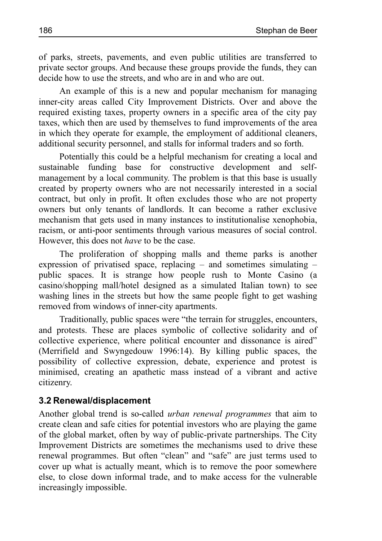of parks, streets, pavements, and even public utilities are transferred to private sector groups. And because these groups provide the funds, they can decide how to use the streets, and who are in and who are out.

An example of this is a new and popular mechanism for managing inner-city areas called City Improvement Districts. Over and above the required existing taxes, property owners in a specific area of the city pay taxes, which then are used by themselves to fund improvements of the area in which they operate for example, the employment of additional cleaners, additional security personnel, and stalls for informal traders and so forth.

Potentially this could be a helpful mechanism for creating a local and sustainable funding base for constructive development and selfmanagement by a local community. The problem is that this base is usually created by property owners who are not necessarily interested in a social contract, but only in profit. It often excludes those who are not property owners but only tenants of landlords. It can become a rather exclusive mechanism that gets used in many instances to institutionalise xenophobia, racism, or anti-poor sentiments through various measures of social control. However, this does not *have* to be the case.

The proliferation of shopping malls and theme parks is another expression of privatised space, replacing – and sometimes simulating – public spaces. It is strange how people rush to Monte Casino (a casino/shopping mall/hotel designed as a simulated Italian town) to see washing lines in the streets but how the same people fight to get washing removed from windows of inner-city apartments.

Traditionally, public spaces were "the terrain for struggles, encounters, and protests. These are places symbolic of collective solidarity and of collective experience, where political encounter and dissonance is aired" (Merrifield and Swyngedouw 1996:14). By killing public spaces, the possibility of collective expression, debate, experience and protest is minimised, creating an apathetic mass instead of a vibrant and active citizenry.

#### **3.2 Renewal/displacement**

Another global trend is so-called *urban renewal programmes* that aim to create clean and safe cities for potential investors who are playing the game of the global market, often by way of public-private partnerships. The City Improvement Districts are sometimes the mechanisms used to drive these renewal programmes. But often "clean" and "safe" are just terms used to cover up what is actually meant, which is to remove the poor somewhere else, to close down informal trade, and to make access for the vulnerable increasingly impossible.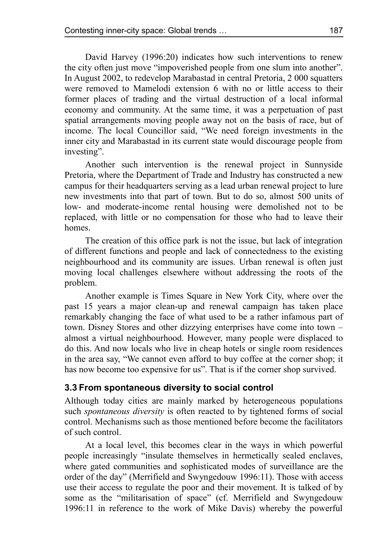David Harvey (1996:20) indicates how such interventions to renew the city often just move "impoverished people from one slum into another". In August 2002, to redevelop Marabastad in central Pretoria, 2 000 squatters were removed to Mamelodi extension 6 with no or little access to their former places of trading and the virtual destruction of a local informal economy and community. At the same time, it was a perpetuation of past spatial arrangements moving people away not on the basis of race, but of income. The local Councillor said, "We need foreign investments in the inner city and Marabastad in its current state would discourage people from investing".

Another such intervention is the renewal project in Sunnyside Pretoria, where the Department of Trade and Industry has constructed a new campus for their headquarters serving as a lead urban renewal project to lure new investments into that part of town. But to do so, almost 500 units of low- and moderate-income rental housing were demolished not to be replaced, with little or no compensation for those who had to leave their homes.

The creation of this office park is not the issue, but lack of integration of different functions and people and lack of connectedness to the existing neighbourhood and its community are issues. Urban renewal is often just moving local challenges elsewhere without addressing the roots of the problem.

Another example is Times Square in New York City, where over the past 15 years a major clean-up and renewal campaign has taken place remarkably changing the face of what used to be a rather infamous part of town. Disney Stores and other dizzying enterprises have come into town – almost a virtual neighbourhood. However, many people were displaced to do this. And now locals who live in cheap hotels or single room residences in the area say, "We cannot even afford to buy coffee at the corner shop; it has now become too expensive for us". That is if the corner shop survived.

#### **3.3 From spontaneous diversity to social control**

Although today cities are mainly marked by heterogeneous populations such *spontaneous diversity* is often reacted to by tightened forms of social control. Mechanisms such as those mentioned before become the facilitators of such control.

At a local level, this becomes clear in the ways in which powerful people increasingly "insulate themselves in hermetically sealed enclaves, where gated communities and sophisticated modes of surveillance are the order of the day" (Merrifield and Swyngedouw 1996:11). Those with access use their access to regulate the poor and their movement. It is talked of by some as the "militarisation of space" (cf. Merrifield and Swyngedouw 1996:11 in reference to the work of Mike Davis) whereby the powerful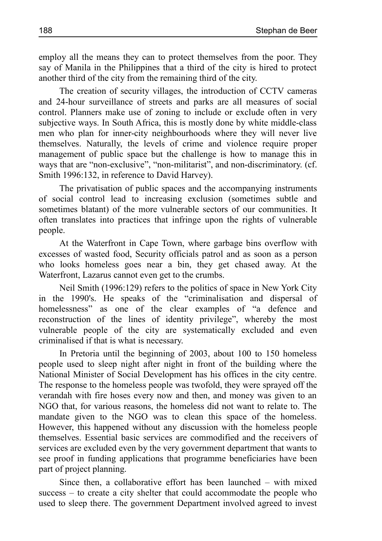employ all the means they can to protect themselves from the poor. They say of Manila in the Philippines that a third of the city is hired to protect another third of the city from the remaining third of the city.

The creation of security villages, the introduction of CCTV cameras and 24-hour surveillance of streets and parks are all measures of social control. Planners make use of zoning to include or exclude often in very subjective ways. In South Africa, this is mostly done by white middle-class men who plan for inner-city neighbourhoods where they will never live themselves. Naturally, the levels of crime and violence require proper management of public space but the challenge is how to manage this in ways that are "non-exclusive", "non-militarist", and non-discriminatory. (cf. Smith 1996:132, in reference to David Harvey).

The privatisation of public spaces and the accompanying instruments of social control lead to increasing exclusion (sometimes subtle and sometimes blatant) of the more vulnerable sectors of our communities. It often translates into practices that infringe upon the rights of vulnerable people.

At the Waterfront in Cape Town, where garbage bins overflow with excesses of wasted food, Security officials patrol and as soon as a person who looks homeless goes near a bin, they get chased away. At the Waterfront, Lazarus cannot even get to the crumbs.

Neil Smith (1996:129) refers to the politics of space in New York City in the 1990's. He speaks of the "criminalisation and dispersal of homelessness" as one of the clear examples of "a defence and reconstruction of the lines of identity privilege", whereby the most vulnerable people of the city are systematically excluded and even criminalised if that is what is necessary.

In Pretoria until the beginning of 2003, about 100 to 150 homeless people used to sleep night after night in front of the building where the National Minister of Social Development has his offices in the city centre. The response to the homeless people was twofold, they were sprayed off the verandah with fire hoses every now and then, and money was given to an NGO that, for various reasons, the homeless did not want to relate to. The mandate given to the NGO was to clean this space of the homeless. However, this happened without any discussion with the homeless people themselves. Essential basic services are commodified and the receivers of services are excluded even by the very government department that wants to see proof in funding applications that programme beneficiaries have been part of project planning.

Since then, a collaborative effort has been launched – with mixed success – to create a city shelter that could accommodate the people who used to sleep there. The government Department involved agreed to invest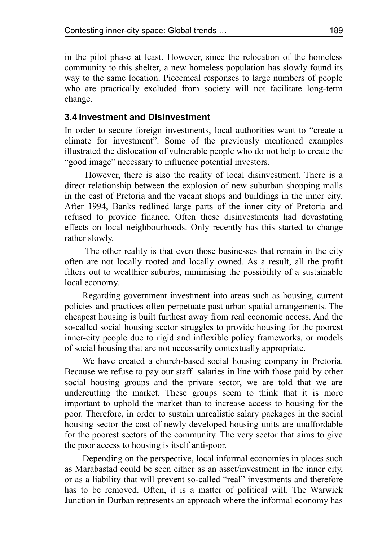in the pilot phase at least. However, since the relocation of the homeless community to this shelter, a new homeless population has slowly found its way to the same location. Piecemeal responses to large numbers of people who are practically excluded from society will not facilitate long-term change.

#### **3.4Investment and Disinvestment**

In order to secure foreign investments, local authorities want to "create a climate for investment". Some of the previously mentioned examples illustrated the dislocation of vulnerable people who do not help to create the "good image" necessary to influence potential investors.

However, there is also the reality of local disinvestment. There is a direct relationship between the explosion of new suburban shopping malls in the east of Pretoria and the vacant shops and buildings in the inner city. After 1994, Banks redlined large parts of the inner city of Pretoria and refused to provide finance. Often these disinvestments had devastating effects on local neighbourhoods. Only recently has this started to change rather slowly.

The other reality is that even those businesses that remain in the city often are not locally rooted and locally owned. As a result, all the profit filters out to wealthier suburbs, minimising the possibility of a sustainable local economy.

Regarding government investment into areas such as housing, current policies and practices often perpetuate past urban spatial arrangements. The cheapest housing is built furthest away from real economic access. And the so-called social housing sector struggles to provide housing for the poorest inner-city people due to rigid and inflexible policy frameworks, or models of social housing that are not necessarily contextually appropriate.

We have created a church-based social housing company in Pretoria. Because we refuse to pay our staff salaries in line with those paid by other social housing groups and the private sector, we are told that we are undercutting the market. These groups seem to think that it is more important to uphold the market than to increase access to housing for the poor. Therefore, in order to sustain unrealistic salary packages in the social housing sector the cost of newly developed housing units are unaffordable for the poorest sectors of the community. The very sector that aims to give the poor access to housing is itself anti-poor.

Depending on the perspective, local informal economies in places such as Marabastad could be seen either as an asset/investment in the inner city, or as a liability that will prevent so-called "real" investments and therefore has to be removed. Often, it is a matter of political will. The Warwick Junction in Durban represents an approach where the informal economy has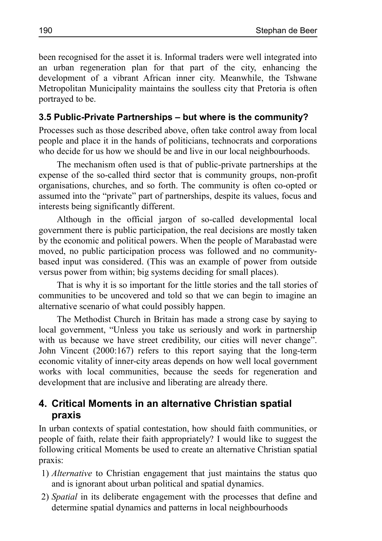been recognised for the asset it is. Informal traders were well integrated into an urban regeneration plan for that part of the city, enhancing the development of a vibrant African inner city. Meanwhile, the Tshwane Metropolitan Municipality maintains the soulless city that Pretoria is often portrayed to be.

## **3.5 Public-Private Partnerships – but where is the community?**

Processes such as those described above, often take control away from local people and place it in the hands of politicians, technocrats and corporations who decide for us how we should be and live in our local neighbourhoods.

The mechanism often used is that of public-private partnerships at the expense of the so-called third sector that is community groups, non-profit organisations, churches, and so forth. The community is often co-opted or assumed into the "private" part of partnerships, despite its values, focus and interests being significantly different.

Although in the official jargon of so-called developmental local government there is public participation, the real decisions are mostly taken by the economic and political powers. When the people of Marabastad were moved, no public participation process was followed and no communitybased input was considered. (This was an example of power from outside versus power from within; big systems deciding for small places).

That is why it is so important for the little stories and the tall stories of communities to be uncovered and told so that we can begin to imagine an alternative scenario of what could possibly happen.

The Methodist Church in Britain has made a strong case by saying to local government, "Unless you take us seriously and work in partnership with us because we have street credibility, our cities will never change". John Vincent (2000:167) refers to this report saying that the long-term economic vitality of inner-city areas depends on how well local government works with local communities, because the seeds for regeneration and development that are inclusive and liberating are already there.

## **4. Critical Moments in an alternative Christian spatial praxis**

In urban contexts of spatial contestation, how should faith communities, or people of faith, relate their faith appropriately? I would like to suggest the following critical Moments be used to create an alternative Christian spatial praxis:

- 1) *Alternative* to Christian engagement that just maintains the status quo and is ignorant about urban political and spatial dynamics.
- 2) *Spatial* in its deliberate engagement with the processes that define and determine spatial dynamics and patterns in local neighbourhoods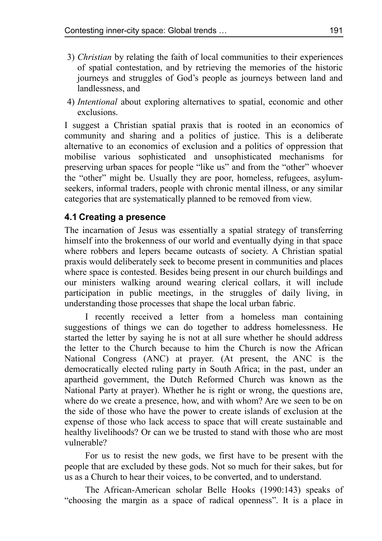- 3) *Christian* by relating the faith of local communities to their experiences of spatial contestation, and by retrieving the memories of the historic journeys and struggles of God's people as journeys between land and landlessness, and
- 4) *Intentional* about exploring alternatives to spatial, economic and other exclusions.

I suggest a Christian spatial praxis that is rooted in an economics of community and sharing and a politics of justice. This is a deliberate alternative to an economics of exclusion and a politics of oppression that mobilise various sophisticated and unsophisticated mechanisms for preserving urban spaces for people "like us" and from the "other" whoever the "other" might be. Usually they are poor, homeless, refugees, asylumseekers, informal traders, people with chronic mental illness, or any similar categories that are systematically planned to be removed from view.

### **4.1 Creating a presence**

The incarnation of Jesus was essentially a spatial strategy of transferring himself into the brokenness of our world and eventually dying in that space where robbers and lepers became outcasts of society. A Christian spatial praxis would deliberately seek to become present in communities and places where space is contested. Besides being present in our church buildings and our ministers walking around wearing clerical collars, it will include participation in public meetings, in the struggles of daily living, in understanding those processes that shape the local urban fabric.

I recently received a letter from a homeless man containing suggestions of things we can do together to address homelessness. He started the letter by saying he is not at all sure whether he should address the letter to the Church because to him the Church is now the African National Congress (ANC) at prayer. (At present, the ANC is the democratically elected ruling party in South Africa; in the past, under an apartheid government, the Dutch Reformed Church was known as the National Party at prayer). Whether he is right or wrong, the questions are, where do we create a presence, how, and with whom? Are we seen to be on the side of those who have the power to create islands of exclusion at the expense of those who lack access to space that will create sustainable and healthy livelihoods? Or can we be trusted to stand with those who are most vulnerable?

For us to resist the new gods, we first have to be present with the people that are excluded by these gods. Not so much for their sakes, but for us as a Church to hear their voices, to be converted, and to understand.

The African-American scholar Belle Hooks (1990:143) speaks of "choosing the margin as a space of radical openness". It is a place in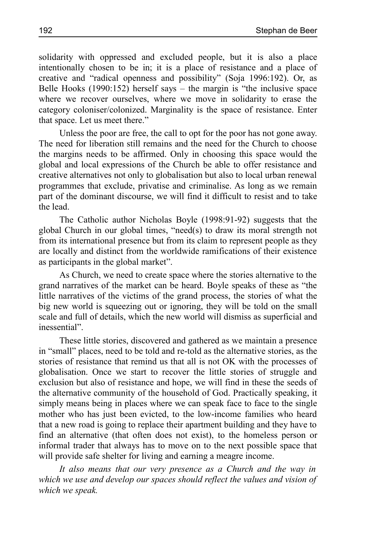solidarity with oppressed and excluded people, but it is also a place intentionally chosen to be in; it is a place of resistance and a place of creative and "radical openness and possibility" (Soja 1996:192). Or, as Belle Hooks (1990:152) herself says – the margin is "the inclusive space where we recover ourselves, where we move in solidarity to erase the category coloniser/colonized. Marginality is the space of resistance. Enter that space. Let us meet there."

Unless the poor are free, the call to opt for the poor has not gone away. The need for liberation still remains and the need for the Church to choose the margins needs to be affirmed. Only in choosing this space would the global and local expressions of the Church be able to offer resistance and creative alternatives not only to globalisation but also to local urban renewal programmes that exclude, privatise and criminalise. As long as we remain part of the dominant discourse, we will find it difficult to resist and to take the lead.

The Catholic author Nicholas Boyle (1998:91-92) suggests that the global Church in our global times, "need(s) to draw its moral strength not from its international presence but from its claim to represent people as they are locally and distinct from the worldwide ramifications of their existence as participants in the global market".

As Church, we need to create space where the stories alternative to the grand narratives of the market can be heard. Boyle speaks of these as "the little narratives of the victims of the grand process, the stories of what the big new world is squeezing out or ignoring, they will be told on the small scale and full of details, which the new world will dismiss as superficial and inessential".

These little stories, discovered and gathered as we maintain a presence in "small" places, need to be told and re-told as the alternative stories, as the stories of resistance that remind us that all is not OK with the processes of globalisation. Once we start to recover the little stories of struggle and exclusion but also of resistance and hope, we will find in these the seeds of the alternative community of the household of God. Practically speaking, it simply means being in places where we can speak face to face to the single mother who has just been evicted, to the low-income families who heard that a new road is going to replace their apartment building and they have to find an alternative (that often does not exist), to the homeless person or informal trader that always has to move on to the next possible space that will provide safe shelter for living and earning a meagre income.

*It also means that our very presence as a Church and the way in which we use and develop our spaces should reflect the values and vision of which we speak.*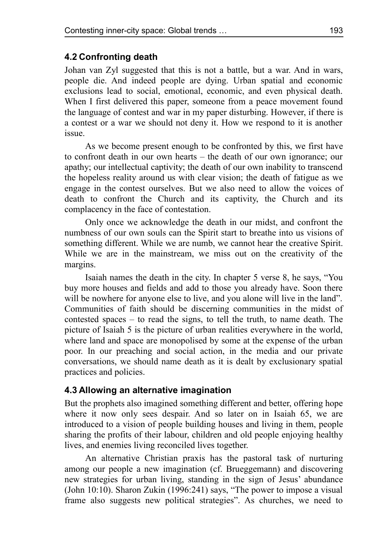#### **4.2 Confronting death**

Johan van Zyl suggested that this is not a battle, but a war. And in wars, people die. And indeed people are dying. Urban spatial and economic exclusions lead to social, emotional, economic, and even physical death. When I first delivered this paper, someone from a peace movement found the language of contest and war in my paper disturbing. However, if there is a contest or a war we should not deny it. How we respond to it is another issue.

As we become present enough to be confronted by this, we first have to confront death in our own hearts – the death of our own ignorance; our apathy; our intellectual captivity; the death of our own inability to transcend the hopeless reality around us with clear vision; the death of fatigue as we engage in the contest ourselves. But we also need to allow the voices of death to confront the Church and its captivity, the Church and its complacency in the face of contestation.

Only once we acknowledge the death in our midst, and confront the numbness of our own souls can the Spirit start to breathe into us visions of something different. While we are numb, we cannot hear the creative Spirit. While we are in the mainstream, we miss out on the creativity of the margins.

Isaiah names the death in the city. In chapter 5 verse 8, he says, "You buy more houses and fields and add to those you already have. Soon there will be nowhere for anyone else to live, and you alone will live in the land". Communities of faith should be discerning communities in the midst of contested spaces – to read the signs, to tell the truth, to name death. The picture of Isaiah 5 is the picture of urban realities everywhere in the world, where land and space are monopolised by some at the expense of the urban poor. In our preaching and social action, in the media and our private conversations, we should name death as it is dealt by exclusionary spatial practices and policies.

#### **4.3 Allowing an alternative imagination**

But the prophets also imagined something different and better, offering hope where it now only sees despair. And so later on in Isaiah 65, we are introduced to a vision of people building houses and living in them, people sharing the profits of their labour, children and old people enjoying healthy lives, and enemies living reconciled lives together.

An alternative Christian praxis has the pastoral task of nurturing among our people a new imagination (cf. Brueggemann) and discovering new strategies for urban living, standing in the sign of Jesus' abundance (John 10:10). Sharon Zukin (1996:241) says, "The power to impose a visual frame also suggests new political strategies". As churches, we need to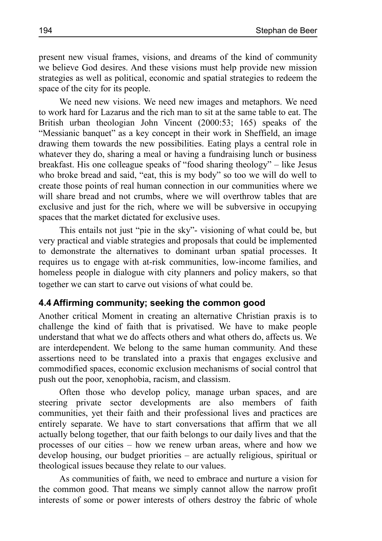present new visual frames, visions, and dreams of the kind of community we believe God desires. And these visions must help provide new mission strategies as well as political, economic and spatial strategies to redeem the space of the city for its people.

We need new visions. We need new images and metaphors. We need to work hard for Lazarus and the rich man to sit at the same table to eat. The British urban theologian John Vincent (2000:53; 165) speaks of the "Messianic banquet" as a key concept in their work in Sheffield, an image drawing them towards the new possibilities. Eating plays a central role in whatever they do, sharing a meal or having a fundraising lunch or business breakfast. His one colleague speaks of "food sharing theology" – like Jesus who broke bread and said, "eat, this is my body" so too we will do well to create those points of real human connection in our communities where we will share bread and not crumbs, where we will overthrow tables that are exclusive and just for the rich, where we will be subversive in occupying spaces that the market dictated for exclusive uses.

This entails not just "pie in the sky"- visioning of what could be, but very practical and viable strategies and proposals that could be implemented to demonstrate the alternatives to dominant urban spatial processes. It requires us to engage with at-risk communities, low-income families, and homeless people in dialogue with city planners and policy makers, so that together we can start to carve out visions of what could be.

#### **4.4 Affirming community; seeking the common good**

Another critical Moment in creating an alternative Christian praxis is to challenge the kind of faith that is privatised. We have to make people understand that what we do affects others and what others do, affects us. We are interdependent. We belong to the same human community. And these assertions need to be translated into a praxis that engages exclusive and commodified spaces, economic exclusion mechanisms of social control that push out the poor, xenophobia, racism, and classism.

Often those who develop policy, manage urban spaces, and are steering private sector developments are also members of faith communities, yet their faith and their professional lives and practices are entirely separate. We have to start conversations that affirm that we all actually belong together, that our faith belongs to our daily lives and that the processes of our cities – how we renew urban areas, where and how we develop housing, our budget priorities – are actually religious, spiritual or theological issues because they relate to our values.

As communities of faith, we need to embrace and nurture a vision for the common good. That means we simply cannot allow the narrow profit interests of some or power interests of others destroy the fabric of whole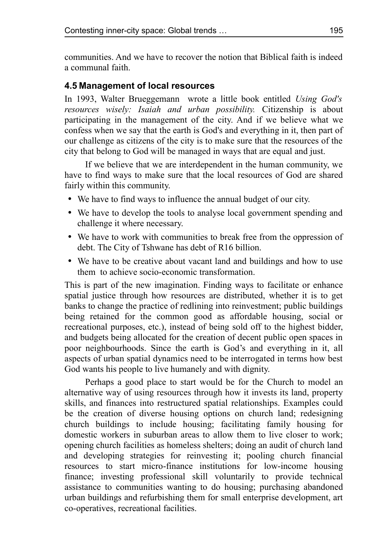communities. And we have to recover the notion that Biblical faith is indeed a communal faith.

### **4.5 Management of local resources**

In 1993, Walter Brueggemann wrote a little book entitled *Using God's resources wisely: Isaiah and urban possibility.* Citizenship is about participating in the management of the city. And if we believe what we confess when we say that the earth is God's and everything in it, then part of our challenge as citizens of the city is to make sure that the resources of the city that belong to God will be managed in ways that are equal and just.

If we believe that we are interdependent in the human community, we have to find ways to make sure that the local resources of God are shared fairly within this community.

- We have to find ways to influence the annual budget of our city.
- We have to develop the tools to analyse local government spending and challenge it where necessary.
- We have to work with communities to break free from the oppression of debt. The City of Tshwane has debt of R16 billion.
- We have to be creative about vacant land and buildings and how to use them to achieve socio-economic transformation.

This is part of the new imagination. Finding ways to facilitate or enhance spatial justice through how resources are distributed, whether it is to get banks to change the practice of redlining into reinvestment; public buildings being retained for the common good as affordable housing, social or recreational purposes, etc.), instead of being sold off to the highest bidder, and budgets being allocated for the creation of decent public open spaces in poor neighbourhoods. Since the earth is God's and everything in it, all aspects of urban spatial dynamics need to be interrogated in terms how best God wants his people to live humanely and with dignity.

Perhaps a good place to start would be for the Church to model an alternative way of using resources through how it invests its land, property skills, and finances into restructured spatial relationships. Examples could be the creation of diverse housing options on church land; redesigning church buildings to include housing; facilitating family housing for domestic workers in suburban areas to allow them to live closer to work; opening church facilities as homeless shelters; doing an audit of church land and developing strategies for reinvesting it; pooling church financial resources to start micro-finance institutions for low-income housing finance; investing professional skill voluntarily to provide technical assistance to communities wanting to do housing; purchasing abandoned urban buildings and refurbishing them for small enterprise development, art co-operatives, recreational facilities.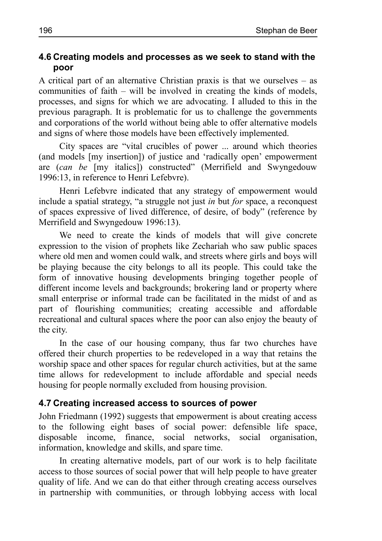#### **4.6 Creating models and processes as we seek to stand with the poor**

A critical part of an alternative Christian praxis is that we ourselves – as communities of faith – will be involved in creating the kinds of models, processes, and signs for which we are advocating. I alluded to this in the previous paragraph. It is problematic for us to challenge the governments and corporations of the world without being able to offer alternative models and signs of where those models have been effectively implemented.

City spaces are "vital crucibles of power ... around which theories (and models [my insertion]) of justice and 'radically open' empowerment are (*can be* [my italics]) constructed" (Merrifield and Swyngedouw 1996:13, in reference to Henri Lefebvre).

Henri Lefebvre indicated that any strategy of empowerment would include a spatial strategy, "a struggle not just *in* but *for* space, a reconquest of spaces expressive of lived difference, of desire, of body" (reference by Merrifield and Swyngedouw 1996:13).

We need to create the kinds of models that will give concrete expression to the vision of prophets like Zechariah who saw public spaces where old men and women could walk, and streets where girls and boys will be playing because the city belongs to all its people. This could take the form of innovative housing developments bringing together people of different income levels and backgrounds; brokering land or property where small enterprise or informal trade can be facilitated in the midst of and as part of flourishing communities; creating accessible and affordable recreational and cultural spaces where the poor can also enjoy the beauty of the city.

In the case of our housing company, thus far two churches have offered their church properties to be redeveloped in a way that retains the worship space and other spaces for regular church activities, but at the same time allows for redevelopment to include affordable and special needs housing for people normally excluded from housing provision.

#### **4.7 Creating increased access to sources of power**

John Friedmann (1992) suggests that empowerment is about creating access to the following eight bases of social power: defensible life space, disposable income, finance, social networks, social organisation, information, knowledge and skills, and spare time.

In creating alternative models, part of our work is to help facilitate access to those sources of social power that will help people to have greater quality of life. And we can do that either through creating access ourselves in partnership with communities, or through lobbying access with local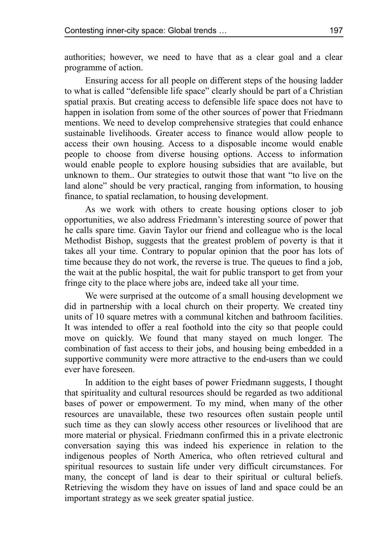authorities; however, we need to have that as a clear goal and a clear programme of action.

Ensuring access for all people on different steps of the housing ladder to what is called "defensible life space" clearly should be part of a Christian spatial praxis. But creating access to defensible life space does not have to happen in isolation from some of the other sources of power that Friedmann mentions. We need to develop comprehensive strategies that could enhance sustainable livelihoods. Greater access to finance would allow people to access their own housing. Access to a disposable income would enable people to choose from diverse housing options. Access to information would enable people to explore housing subsidies that are available, but unknown to them.. Our strategies to outwit those that want "to live on the land alone" should be very practical, ranging from information, to housing finance, to spatial reclamation, to housing development.

As we work with others to create housing options closer to job opportunities, we also address Friedmann's interesting source of power that he calls spare time. Gavin Taylor our friend and colleague who is the local Methodist Bishop, suggests that the greatest problem of poverty is that it takes all your time. Contrary to popular opinion that the poor has lots of time because they do not work, the reverse is true. The queues to find a job, the wait at the public hospital, the wait for public transport to get from your fringe city to the place where jobs are, indeed take all your time.

We were surprised at the outcome of a small housing development we did in partnership with a local church on their property. We created tiny units of 10 square metres with a communal kitchen and bathroom facilities. It was intended to offer a real foothold into the city so that people could move on quickly. We found that many stayed on much longer. The combination of fast access to their jobs, and housing being embedded in a supportive community were more attractive to the end-users than we could ever have foreseen.

In addition to the eight bases of power Friedmann suggests, I thought that spirituality and cultural resources should be regarded as two additional bases of power or empowerment. To my mind, when many of the other resources are unavailable, these two resources often sustain people until such time as they can slowly access other resources or livelihood that are more material or physical. Friedmann confirmed this in a private electronic conversation saying this was indeed his experience in relation to the indigenous peoples of North America, who often retrieved cultural and spiritual resources to sustain life under very difficult circumstances. For many, the concept of land is dear to their spiritual or cultural beliefs. Retrieving the wisdom they have on issues of land and space could be an important strategy as we seek greater spatial justice.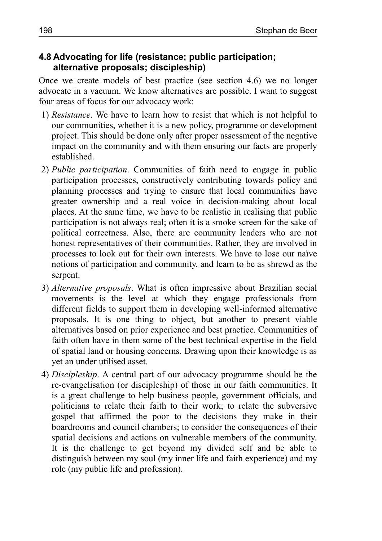### **4.8 Advocating for life (resistance; public participation; alternative proposals; discipleship)**

Once we create models of best practice (see section 4.6) we no longer advocate in a vacuum. We know alternatives are possible. I want to suggest four areas of focus for our advocacy work:

- 1) *Resistance*. We have to learn how to resist that which is not helpful to our communities, whether it is a new policy, programme or development project. This should be done only after proper assessment of the negative impact on the community and with them ensuring our facts are properly established.
- 2) *Public participation*. Communities of faith need to engage in public participation processes, constructively contributing towards policy and planning processes and trying to ensure that local communities have greater ownership and a real voice in decision-making about local places. At the same time, we have to be realistic in realising that public participation is not always real; often it is a smoke screen for the sake of political correctness. Also, there are community leaders who are not honest representatives of their communities. Rather, they are involved in processes to look out for their own interests. We have to lose our naïve notions of participation and community, and learn to be as shrewd as the serpent.
- 3) *Alternative proposals*. What is often impressive about Brazilian social movements is the level at which they engage professionals from different fields to support them in developing well-informed alternative proposals. It is one thing to object, but another to present viable alternatives based on prior experience and best practice. Communities of faith often have in them some of the best technical expertise in the field of spatial land or housing concerns. Drawing upon their knowledge is as yet an under utilised asset.
- 4) *Discipleship*. A central part of our advocacy programme should be the re-evangelisation (or discipleship) of those in our faith communities. It is a great challenge to help business people, government officials, and politicians to relate their faith to their work; to relate the subversive gospel that affirmed the poor to the decisions they make in their boardrooms and council chambers; to consider the consequences of their spatial decisions and actions on vulnerable members of the community. It is the challenge to get beyond my divided self and be able to distinguish between my soul (my inner life and faith experience) and my role (my public life and profession).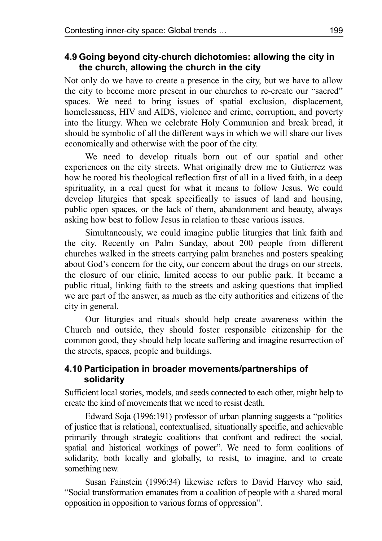## **4.9 Going beyond city-church dichotomies: allowing the city in the church, allowing the church in the city**

Not only do we have to create a presence in the city, but we have to allow the city to become more present in our churches to re-create our "sacred" spaces. We need to bring issues of spatial exclusion, displacement, homelessness, HIV and AIDS, violence and crime, corruption, and poverty into the liturgy. When we celebrate Holy Communion and break bread, it should be symbolic of all the different ways in which we will share our lives economically and otherwise with the poor of the city.

We need to develop rituals born out of our spatial and other experiences on the city streets. What originally drew me to Gutierrez was how he rooted his theological reflection first of all in a lived faith, in a deep spirituality, in a real quest for what it means to follow Jesus. We could develop liturgies that speak specifically to issues of land and housing, public open spaces, or the lack of them, abandonment and beauty, always asking how best to follow Jesus in relation to these various issues.

Simultaneously, we could imagine public liturgies that link faith and the city. Recently on Palm Sunday, about 200 people from different churches walked in the streets carrying palm branches and posters speaking about God's concern for the city, our concern about the drugs on our streets, the closure of our clinic, limited access to our public park. It became a public ritual, linking faith to the streets and asking questions that implied we are part of the answer, as much as the city authorities and citizens of the city in general.

Our liturgies and rituals should help create awareness within the Church and outside, they should foster responsible citizenship for the common good, they should help locate suffering and imagine resurrection of the streets, spaces, people and buildings.

### **4.10 Participation in broader movements/partnerships of solidarity**

Sufficient local stories, models, and seeds connected to each other, might help to create the kind of movements that we need to resist death.

Edward Soja (1996:191) professor of urban planning suggests a "politics of justice that is relational, contextualised, situationally specific, and achievable primarily through strategic coalitions that confront and redirect the social, spatial and historical workings of power". We need to form coalitions of solidarity, both locally and globally, to resist, to imagine, and to create something new.

Susan Fainstein (1996:34) likewise refers to David Harvey who said, "Social transformation emanates from a coalition of people with a shared moral opposition in opposition to various forms of oppression".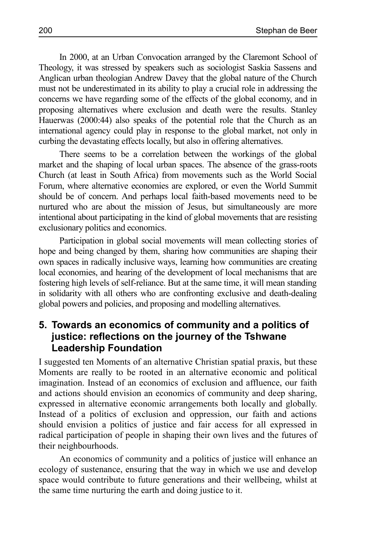In 2000, at an Urban Convocation arranged by the Claremont School of Theology, it was stressed by speakers such as sociologist Saskia Sassens and Anglican urban theologian Andrew Davey that the global nature of the Church must not be underestimated in its ability to play a crucial role in addressing the concerns we have regarding some of the effects of the global economy, and in proposing alternatives where exclusion and death were the results. Stanley Hauerwas (2000:44) also speaks of the potential role that the Church as an international agency could play in response to the global market, not only in curbing the devastating effects locally, but also in offering alternatives.

There seems to be a correlation between the workings of the global market and the shaping of local urban spaces. The absence of the grass-roots Church (at least in South Africa) from movements such as the World Social Forum, where alternative economies are explored, or even the World Summit should be of concern. And perhaps local faith-based movements need to be nurtured who are about the mission of Jesus, but simultaneously are more intentional about participating in the kind of global movements that are resisting exclusionary politics and economics.

Participation in global social movements will mean collecting stories of hope and being changed by them, sharing how communities are shaping their own spaces in radically inclusive ways, learning how communities are creating local economies, and hearing of the development of local mechanisms that are fostering high levels of self-reliance. But at the same time, it will mean standing in solidarity with all others who are confronting exclusive and death-dealing global powers and policies, and proposing and modelling alternatives.

## **5. Towards an economics of community and a politics of justice: reflections on the journey of the Tshwane Leadership Foundation**

I suggested ten Moments of an alternative Christian spatial praxis, but these Moments are really to be rooted in an alternative economic and political imagination. Instead of an economics of exclusion and affluence, our faith and actions should envision an economics of community and deep sharing, expressed in alternative economic arrangements both locally and globally. Instead of a politics of exclusion and oppression, our faith and actions should envision a politics of justice and fair access for all expressed in radical participation of people in shaping their own lives and the futures of their neighbourhoods.

An economics of community and a politics of justice will enhance an ecology of sustenance, ensuring that the way in which we use and develop space would contribute to future generations and their wellbeing, whilst at the same time nurturing the earth and doing justice to it.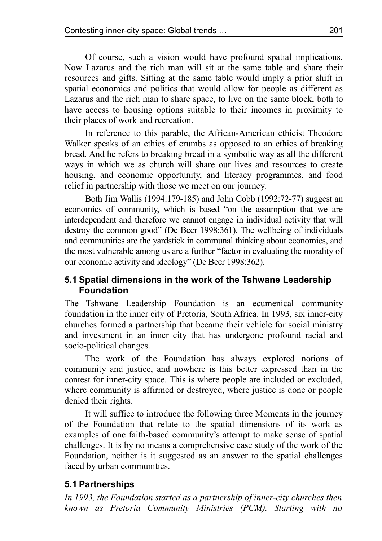Of course, such a vision would have profound spatial implications. Now Lazarus and the rich man will sit at the same table and share their resources and gifts. Sitting at the same table would imply a prior shift in spatial economics and politics that would allow for people as different as Lazarus and the rich man to share space, to live on the same block, both to have access to housing options suitable to their incomes in proximity to their places of work and recreation.

In reference to this parable, the African-American ethicist Theodore Walker speaks of an ethics of crumbs as opposed to an ethics of breaking bread. And he refers to breaking bread in a symbolic way as all the different ways in which we as church will share our lives and resources to create housing, and economic opportunity, and literacy programmes, and food relief in partnership with those we meet on our journey.

Both Jim Wallis (1994:179-185) and John Cobb (1992:72-77) suggest an economics of community, which is based "on the assumption that we are interdependent and therefore we cannot engage in individual activity that will destroy the common good" (De Beer 1998:361). The wellbeing of individuals and communities are the yardstick in communal thinking about economics, and the most vulnerable among us are a further "factor in evaluating the morality of our economic activity and ideology" (De Beer 1998:362).

### **5.1 Spatial dimensions in the work of the Tshwane Leadership Foundation**

The Tshwane Leadership Foundation is an ecumenical community foundation in the inner city of Pretoria, South Africa. In 1993, six inner-city churches formed a partnership that became their vehicle for social ministry and investment in an inner city that has undergone profound racial and socio-political changes.

The work of the Foundation has always explored notions of community and justice, and nowhere is this better expressed than in the contest for inner-city space. This is where people are included or excluded, where community is affirmed or destroyed, where justice is done or people denied their rights.

It will suffice to introduce the following three Moments in the journey of the Foundation that relate to the spatial dimensions of its work as examples of one faith-based community's attempt to make sense of spatial challenges. It is by no means a comprehensive case study of the work of the Foundation, neither is it suggested as an answer to the spatial challenges faced by urban communities.

### **5.1 Partnerships**

*In 1993, the Foundation started as a partnership of inner-city churches then known as Pretoria Community Ministries (PCM). Starting with no*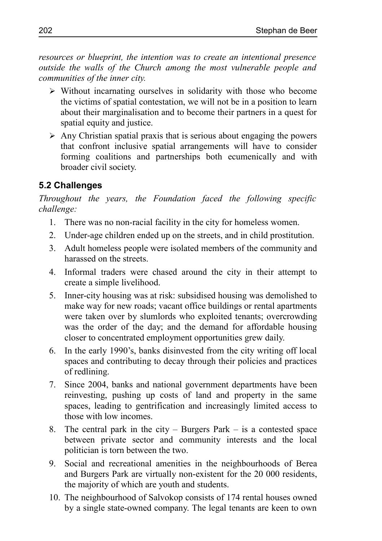*resources or blueprint, the intention was to create an intentional presence outside the walls of the Church among the most vulnerable people and communities of the inner city.*

- ➢ Without incarnating ourselves in solidarity with those who become the victims of spatial contestation, we will not be in a position to learn about their marginalisation and to become their partners in a quest for spatial equity and justice.
- $\triangleright$  Any Christian spatial praxis that is serious about engaging the powers that confront inclusive spatial arrangements will have to consider forming coalitions and partnerships both ecumenically and with broader civil society.

## **5.2 Challenges**

*Throughout the years, the Foundation faced the following specific challenge:* 

- 1. There was no non-racial facility in the city for homeless women.
- 2. Under-age children ended up on the streets, and in child prostitution.
- 3. Adult homeless people were isolated members of the community and harassed on the streets.
- 4. Informal traders were chased around the city in their attempt to create a simple livelihood.
- 5. Inner-city housing was at risk: subsidised housing was demolished to make way for new roads; vacant office buildings or rental apartments were taken over by slumlords who exploited tenants; overcrowding was the order of the day; and the demand for affordable housing closer to concentrated employment opportunities grew daily.
- 6. In the early 1990's, banks disinvested from the city writing off local spaces and contributing to decay through their policies and practices of redlining.
- 7. Since 2004, banks and national government departments have been reinvesting, pushing up costs of land and property in the same spaces, leading to gentrification and increasingly limited access to those with low incomes.
- 8. The central park in the city Burgers Park is a contested space between private sector and community interests and the local politician is torn between the two.
- 9. Social and recreational amenities in the neighbourhoods of Berea and Burgers Park are virtually non-existent for the 20 000 residents, the majority of which are youth and students.
- 10. The neighbourhood of Salvokop consists of 174 rental houses owned by a single state-owned company. The legal tenants are keen to own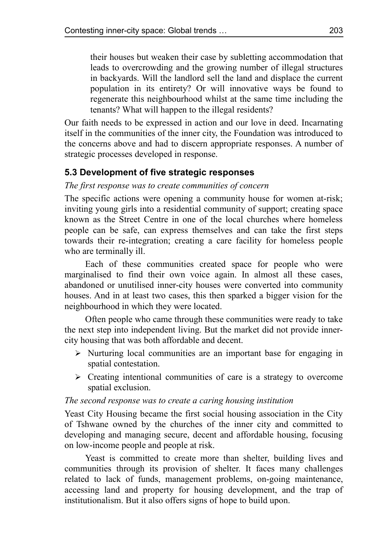their houses but weaken their case by subletting accommodation that leads to overcrowding and the growing number of illegal structures in backyards. Will the landlord sell the land and displace the current population in its entirety? Or will innovative ways be found to regenerate this neighbourhood whilst at the same time including the tenants? What will happen to the illegal residents?

Our faith needs to be expressed in action and our love in deed. Incarnating itself in the communities of the inner city, the Foundation was introduced to the concerns above and had to discern appropriate responses. A number of strategic processes developed in response.

### **5.3 Development of five strategic responses**

#### *The first response was to create communities of concern*

The specific actions were opening a community house for women at-risk; inviting young girls into a residential community of support; creating space known as the Street Centre in one of the local churches where homeless people can be safe, can express themselves and can take the first steps towards their re-integration; creating a care facility for homeless people who are terminally ill.

Each of these communities created space for people who were marginalised to find their own voice again. In almost all these cases, abandoned or unutilised inner-city houses were converted into community houses. And in at least two cases, this then sparked a bigger vision for the neighbourhood in which they were located.

Often people who came through these communities were ready to take the next step into independent living. But the market did not provide innercity housing that was both affordable and decent.

- $\triangleright$  Nurturing local communities are an important base for engaging in spatial contestation.
- ➢ Creating intentional communities of care is a strategy to overcome spatial exclusion.

#### *The second response was to create a caring housing institution*

Yeast City Housing became the first social housing association in the City of Tshwane owned by the churches of the inner city and committed to developing and managing secure, decent and affordable housing, focusing on low-income people and people at risk.

Yeast is committed to create more than shelter, building lives and communities through its provision of shelter. It faces many challenges related to lack of funds, management problems, on-going maintenance, accessing land and property for housing development, and the trap of institutionalism. But it also offers signs of hope to build upon.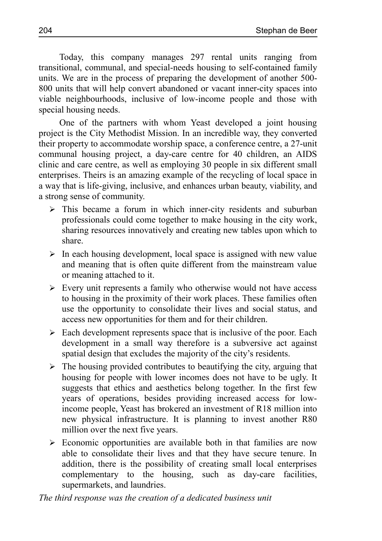Today, this company manages 297 rental units ranging from transitional, communal, and special-needs housing to self-contained family units. We are in the process of preparing the development of another 500- 800 units that will help convert abandoned or vacant inner-city spaces into viable neighbourhoods, inclusive of low-income people and those with special housing needs.

One of the partners with whom Yeast developed a joint housing project is the City Methodist Mission. In an incredible way, they converted their property to accommodate worship space, a conference centre, a 27-unit communal housing project, a day-care centre for 40 children, an AIDS clinic and care centre, as well as employing 30 people in six different small enterprises. Theirs is an amazing example of the recycling of local space in a way that is life-giving, inclusive, and enhances urban beauty, viability, and a strong sense of community.

- $\geq$  This became a forum in which inner-city residents and suburban professionals could come together to make housing in the city work, sharing resources innovatively and creating new tables upon which to share.
- $\triangleright$  In each housing development, local space is assigned with new value and meaning that is often quite different from the mainstream value or meaning attached to it.
- ➢ Every unit represents a family who otherwise would not have access to housing in the proximity of their work places. These families often use the opportunity to consolidate their lives and social status, and access new opportunities for them and for their children.
- $\triangleright$  Each development represents space that is inclusive of the poor. Each development in a small way therefore is a subversive act against spatial design that excludes the majority of the city's residents.
- $\triangleright$  The housing provided contributes to beautifying the city, arguing that housing for people with lower incomes does not have to be ugly. It suggests that ethics and aesthetics belong together. In the first few years of operations, besides providing increased access for lowincome people, Yeast has brokered an investment of R18 million into new physical infrastructure. It is planning to invest another R80 million over the next five years.
- $\triangleright$  Economic opportunities are available both in that families are now able to consolidate their lives and that they have secure tenure. In addition, there is the possibility of creating small local enterprises complementary to the housing, such as day-care facilities, supermarkets, and laundries.

*The third response was the creation of a dedicated business unit*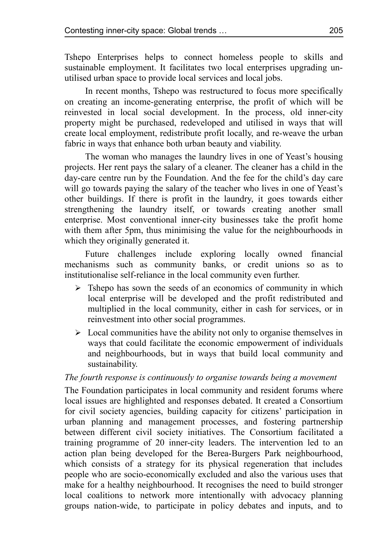Tshepo Enterprises helps to connect homeless people to skills and sustainable employment. It facilitates two local enterprises upgrading unutilised urban space to provide local services and local jobs.

In recent months, Tshepo was restructured to focus more specifically on creating an income-generating enterprise, the profit of which will be reinvested in local social development. In the process, old inner-city property might be purchased, redeveloped and utilised in ways that will create local employment, redistribute profit locally, and re-weave the urban fabric in ways that enhance both urban beauty and viability.

The woman who manages the laundry lives in one of Yeast's housing projects. Her rent pays the salary of a cleaner. The cleaner has a child in the day-care centre run by the Foundation. And the fee for the child's day care will go towards paying the salary of the teacher who lives in one of Yeast's other buildings. If there is profit in the laundry, it goes towards either strengthening the laundry itself, or towards creating another small enterprise. Most conventional inner-city businesses take the profit home with them after 5pm, thus minimising the value for the neighbourhoods in which they originally generated it.

Future challenges include exploring locally owned financial mechanisms such as community banks, or credit unions so as to institutionalise self-reliance in the local community even further.

- $\triangleright$  Tshepo has sown the seeds of an economics of community in which local enterprise will be developed and the profit redistributed and multiplied in the local community, either in cash for services, or in reinvestment into other social programmes.
- $\triangleright$  Local communities have the ability not only to organise themselves in ways that could facilitate the economic empowerment of individuals and neighbourhoods, but in ways that build local community and sustainability.

#### *The fourth response is continuously to organise towards being a movement*

The Foundation participates in local community and resident forums where local issues are highlighted and responses debated. It created a Consortium for civil society agencies, building capacity for citizens' participation in urban planning and management processes, and fostering partnership between different civil society initiatives. The Consortium facilitated a training programme of 20 inner-city leaders. The intervention led to an action plan being developed for the Berea-Burgers Park neighbourhood, which consists of a strategy for its physical regeneration that includes people who are socio-economically excluded and also the various uses that make for a healthy neighbourhood. It recognises the need to build stronger local coalitions to network more intentionally with advocacy planning groups nation-wide, to participate in policy debates and inputs, and to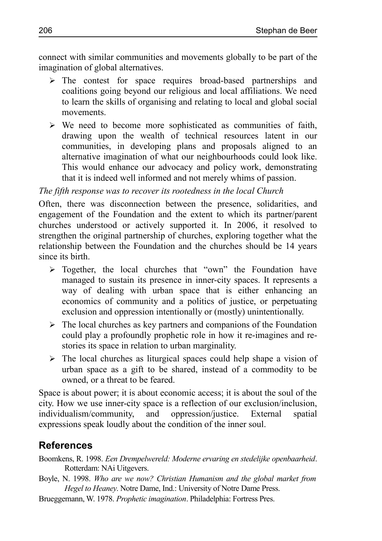connect with similar communities and movements globally to be part of the imagination of global alternatives.

- ➢ The contest for space requires broad-based partnerships and coalitions going beyond our religious and local affiliations. We need to learn the skills of organising and relating to local and global social movements.
- $\triangleright$  We need to become more sophisticated as communities of faith, drawing upon the wealth of technical resources latent in our communities, in developing plans and proposals aligned to an alternative imagination of what our neighbourhoods could look like. This would enhance our advocacy and policy work, demonstrating that it is indeed well informed and not merely whims of passion.

#### *The fifth response was to recover its rootedness in the local Church*

Often, there was disconnection between the presence, solidarities, and engagement of the Foundation and the extent to which its partner/parent churches understood or actively supported it. In 2006, it resolved to strengthen the original partnership of churches, exploring together what the relationship between the Foundation and the churches should be 14 years since its birth.

- ➢ Together, the local churches that "own" the Foundation have managed to sustain its presence in inner-city spaces. It represents a way of dealing with urban space that is either enhancing an economics of community and a politics of justice, or perpetuating exclusion and oppression intentionally or (mostly) unintentionally.
- $\triangleright$  The local churches as key partners and companions of the Foundation could play a profoundly prophetic role in how it re-imagines and restories its space in relation to urban marginality.
- $\triangleright$  The local churches as liturgical spaces could help shape a vision of urban space as a gift to be shared, instead of a commodity to be owned, or a threat to be feared.

Space is about power; it is about economic access; it is about the soul of the city. How we use inner-city space is a reflection of our exclusion/inclusion, individualism/community, and oppression/justice. External spatial expressions speak loudly about the condition of the inner soul.

## **References**

- Boomkens, R. 1998. *Een Drempelwereld: Moderne ervaring en stedelijke openbaarheid*. Rotterdam: NAi Uitgevers.
- Boyle, N. 1998. *Who are we now? Christian Humanism and the global market from Hegel to Heaney*. Notre Dame, Ind.: University of Notre Dame Press.
- Brueggemann, W. 1978. *Prophetic imagination*. Philadelphia: Fortress Pres.